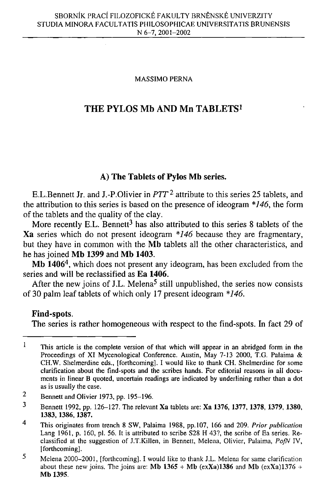### **MASSIMO PERNA**

# **THE PYLOS Mb AND Mn TABLETS<sup>1</sup>**

# **A) The Tablets of Pylos Mb series.**

E.L.Bennett Jr. and J.-P.Olivier in *PTT*<sup>2</sup> attribute to this series 25 tablets, and the attribution to this series is based on the presence of ideogram *\*146,* the form of the tablets and the quality of the clay.

More recently E.L. Bennett<sup>3</sup> has also attributed to this series 8 tablets of the **Xa** series which do not present ideogram *\*146* because they are fragmentary, but they have in common with the **Mb** tablets all the other characteristics, and he has joined **Mb 1399** and **Mb 1403.** 

**Mb 1406<sup>4</sup> ,** which does not present any ideogram, has been excluded from the series and will be reclassified as **Ea 1406.** 

After the new joins of J.L. Melena<sup>5</sup> still unpublished, the series now consists of 30 palm leaf tablets of which only 17 present ideogram *\*146.* 

### **Find-spots.**

The series is rather homogeneous with respect to the find-spots. In fact 29 of

 $\mathbf{1}$ **This article is the complete version of that which will appear in an abridged form in the Proceedings of XI Mycenological Conference. Austin, May 7-13 2000, T.G. Palaima & CH.W. Shelmerdine eds., [forthcoming]. I would like to thank CH. Shelmerdine for some clarification about the find-spots and the scribes hands. For editorial reasons in all documents in linear B quoted, uncertain readings are indicated by underlining rather than a dot as is usually the case.** 

 $\overline{2}$ **Bennett and Olivier 1973, pp. 195-196.** 

 $\overline{\mathbf{3}}$ **Bennett 1992, pp. 126-127. The relevant Xa tablets are: Xa 1376, 1377,1378,1379, 1380, 1383,1386,1387.** 

 $\overline{4}$ **This originates from trench 8 SW, Palaima 1988, pp.107, 166 and 209.** *Prior publication*  **Lang 1961, p. 160, pi. 56. It is attributed to scribe S28 H 43?, the scribe of Ea series. Reclassified at the suggestion of J.T.Killen, in Bennett, Melena, Olivier, Palaima,** *PofN* **IV, [forthcoming].** 

<sup>5</sup> **Melena 2000-2001, [forthcoming]. I would like to thank J.L. Melena for same clarification**  about these new joins. The joins are: **Mb 1365 + Mb** (exXa)1386 and **Mb** (exXa)1376 + **Mb 1395.**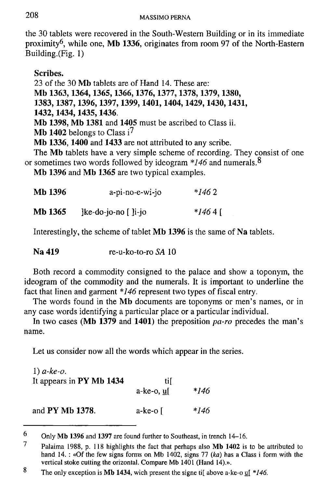the 30 tablets were recovered in the South-Western Building or in its immediate proximity<sup>6</sup> , while one, **Mb 1336,** originates from room 97 of the North-Eastern Building.(Fig. 1)

**Scribes.** 

23 of the 30 **Mb** tablets are of Hand 14. These are:

**Mb 1363,1364,1365,1366,1376,1377,1378,1379,1380,** 

**1383,1387,1396,1397,1399,1401,1404,1429,1430,1431,** 

**1432,1434,1435,1436.** 

**Mb 1398, Mb 1381** and **1405** must be ascribed to Class ii.

**Mb 1402** belongs to Class  $i^7$ 

Mb 1336, 1400 and 1433 are not attributed to any scribe.

The **Mb** tablets have a very simple scheme of recording. They consist of one or sometimes two words followed by ideogram *\*146* and numerals.^

**Mb 1396** and **Mb 1365** are two typical examples.

| Mb 1396 | a-pi-no-e-wi-jo              | $*1462$   |
|---------|------------------------------|-----------|
| Mb 1365 | $]$ ke-do-jo-no $[$ $]$ i-jo | $*1464$ [ |

Interestingly, the scheme of tablet **Mb 1396** is the same of **Na** tablets.

**Na 419** re-u-ko-to-ro *SA* 10

Both record a commodity consigned to the palace and show a toponym, the ideogram of the commodity and the numerals. It is important to underline the fact that linen and garment *\*146* represent two types of fiscal entry.

The words found in the **Mb** documents are toponyms or men's names, or in any case words identifying a particular place or a particular individual.

In two cases **(Mb 1379** and **1401)** the preposition *pa-ro* precedes the man's name.

Let us consider now all the words which appear in the series.

| $1) a-ke-o$ .<br>It appears in PY Mb 1434 | til             |      |
|-------------------------------------------|-----------------|------|
|                                           | a-ke-o, uf      | *146 |
| and PY Mb 1378.                           | a-ke-o $\lceil$ | *146 |

<sup>6</sup> **Only Mb 1396 and 1397 are found further to Southeast, in trench 14-16.** 

<sup>7</sup> **Palaima 1988, p. 118 highlights the fact that perhaps also Mb 1402 is to be attributed to hand 14. : «Of the few signs forms on Mb 1402, signs 77** *(ka)* **has a Class i form with the vertical stoke cutting the orizontal. Compare Mb 1401 (Hand I4).».** 

<sup>8</sup> **The only exception is Mb 1434, wich present the signe ti[ above a-ke-o u[** *\*146.*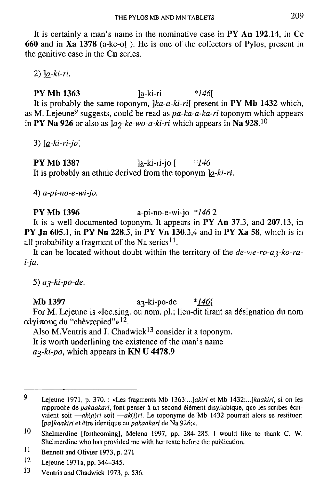It is certainly a man's name in the nominative case in PY **An 192**.14, in **Cc 660** and in **Xa 1378** (a-ke-o[ ). He is one of the collectors of Pylos, present in the genitive case in the **Cn** series.

2) *]a-ki-ri.* 

P Y **Mb 1363** ]a-ki-ri *\*146[*  It is probably the same toponym, *]ka-a-ki-ri[* present in PY **Mb 1432** which, as M. Lejeune<sup>9</sup> suggests, could be read as *pa-ka-a-ka-ri* toponym which appears in PY Na 926 or also as  $a_2$ -ke-wo-a-ki-ri which appears in Na 928.<sup>10</sup>

3) *]a-ki-ri-jo[* 

**PY Mb 1387** ]a-ki-ri-jo [  $*146$ It is probably an ethnic derived from the toponym *]a-ki-ri.* 

4) *a-pi-no-e-wi-jo.* 

P Y **Mb 1396** a-pi-no-e-wi-jo *\*146* 2

It is a well documented toponym. It appears in PY **An 37**.3, and **207**.13, in **PY Jn 605.1, in PY Nn 228.5, in PY Vn 130.3,4 and in PY Xa 58, which is in** all probability a fragment of the Na series<sup>11</sup>.

It can be located without doubt within the territory of the *de-we-ro-a<sub>3</sub>-ko-rai-ja.* 

**5)** *aj-ki-po-de.* 

**Mb 1397** a<sub>3</sub>-ki-po-de \*146[

For M. Lejeune is «loc.sing. ou nom. pl.; lieu-dit tirant sa désignation du nom αἰγίπους du "chèvrepied"»<sup>12</sup>.

Also M. Ventris and J. Chadwick<sup>13</sup> consider it a toponym. It is worth underlining the existence of the man's name a<sub>3</sub>-ki-po, which appears in **KN U 4478.9** 

<sup>9</sup> Lejeune 1971, p. 370. : «Les fragments Mb 1363:...]akiri et Mb 1432:...]kaakiri, si on les rapproche de *pakaakari*, font penser à un second élément disyllabique, que les scribes écrivaient soit —*ak(a)ri* soit —*ak(i)ri*. Le toponyme de Mb 1432 pourrait alors se restituer: *[pa]kaakiri* **et etre identique an** *pakaakari* **de Na 926;».** 

<sup>10</sup> **Shelmeidine [forthcoming], Melena 1997, pp. 284-285. I would like to thank C. W. Shelmerdine who has provided me with her texte before the publication.** 

 $11$ **Bennett and Olivier 1973, p. 271** 

 $12$ **Lejeune 1971a, pp. 344-345.** 

<sup>13</sup> **Ventris and Chadwick 1973, p. 536.**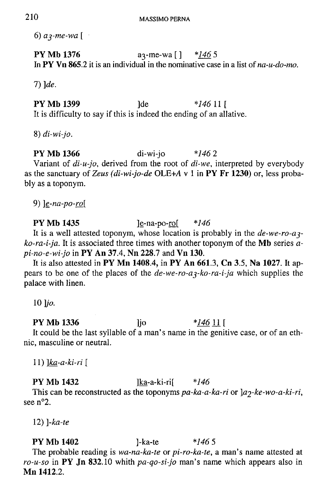6) *a^-me-wa [* 

**PY Mb 1376 a**<sub>3</sub>-me-wa [ ] *\*146* 5

 $7)$   $de.$ **7)** *]de.* 

**PY Mb 1399 Ide**  $*146111$ It is difficulty to say if this is indeed the ending of an allative. It is difficulty to say if the end of an allation  $\mathcal{L}^{\mathcal{L}}$ 

8) *di-wi-jo.* 

**PY Mb 1366** di-wi-jo *\*146 2*  Variant of *di-u-jo,* derived from the root of *di-we,* interpreted by everybody as the sanctuary of Zeus (di-wi-jo-de OLE+A v 1 in PY Fr 1230) or, less probably as a toponym.

9) *]e-na-po-w[* 

**PY Mb 1435** ]e-na-po-ro[ *\*146*  It is a well attested toponym, whose location is probably in the *de-we-ro-ajko-ra-i-ja.* It is associated three times with another toponym of the **Mb** series *api-no-e-wi-jo* in **PY An 37.4, Nn 228.7** and **Vn 130.** 

It is also attested in **PY Mn 1408.4,** in **PY An 661.3, Cn 3.5, Na 1027.** It appears to be one of the places of the *de-we-ro-ay-ko-ra-i-ja* which supplies the palace with linen.

 $10$  lio.

**PY Mb 1336 ]jo**  $*14611$ It could be the last syllable of a man's name in the genitive case, or of an ethnic, masculine or neutral.

11) *]ka-a-ki-ri [* 

**PY Mb 1432** ]ka-a-ki-ri[ *\*146*  This can be reconstructed as the toponyms pa-ka-a-ka-ri or  $\frac{a}{2}$ -ke-wo-a-ki-ri, see n°2.

12) *]-ka-te* 

**PY Mb 1402** ]-ka-te *\*146* **5**  The probable reading is *wa-na-ka-te* or *pi-ro-ka-te,* a man's name attested at *ro-u-so* in **PY Jn 832**.10 whith *pa-qo-si-jo* man's name which appears also in **Mn 1412**.2.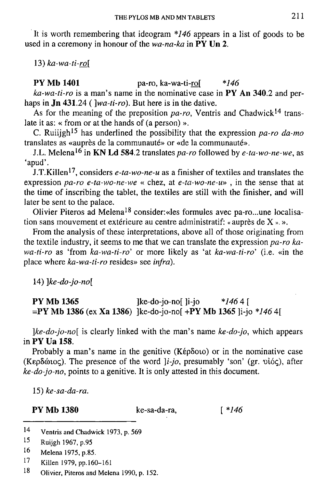It is worth remembering that ideogram *\*]46* appears in a list of goods to be used in a ceremony in honour of the *wa-na-ka* in **PY Un 2.** 

13) *ka-wa-ti-ro[* 

**PY Mb 1401** pa-ro, ka-wa-ti-ro[ *\*146* 

*ka-wa-ti-ro* is a man's name in the nominative case in **PY An 340**.2 and perhaps in **Jn 431**.24 (*]wa-ti-ro).* But here is in the dative.

As for the meaning of the preposition pa-ro, Ventris and Chadwick<sup>14</sup> translate it as: « from or at the hands of (a person) ».

C. Ruiijgh<sup>15</sup> has underlined the possibility that the expression pa-ro da-mo translates as «auprès de la communauté» or «de la communauté».

J.L. Melena<sup>16</sup> in **KN Ld 584**.2 translates *pa-ro* followed by *e-ta-wo-ne-we*, as 'apud'.

J.T.Killen<sup>17</sup>, considers *e-ta-wo-ne-u* as a finisher of textiles and translates the expression *pa-ro e-ta-wo-ne-we* « chez, at *e-ta-wo-ne-u»* , in the sense that at the time of inscribing the tablet, the textiles are still with the finisher, and will later be sent to the palace.

Olivier Piteros ad Melena<sup>18</sup> consider: «les formules avec pa-ro...une localisation sans mouvement et extérieure au centre administratif: « auprès de  $X \rightarrow \infty$ .

From the analysis of these interpretations, above all of those originating from the textile industry, it seems to me that we can translate the expression *pa-ro kawa-ti-ro* as 'from *ka-wa-ti-ro'* or more likely as 'at *ka-wa-ti-ro'* (i.e. «in the place where *ka-wa-ti-ro* resides» see *infra).* 

14) *]ke-do-jo-no[* 

**PY Mb 1365** ]ke-do-jo-no[ ]i-jo *\*146 4 [*  **=PY Mb 1386** (ex **Xa 1386)** ]ke-do-jo-no[ **+PY Mb 1365** ]i-jo *\*146* 4[

*]ke-do-jo-no[* is clearly linked with the man's name *ke-do-jo,* which appears in **PY Ua 158.** 

Probably a man's name in the genitive  $(Kép\delta oio)$  or in the nominative case (Kep56ioc;). The presence of the word *]i-jo,* presumably 'son' (gr. *vioq),* after *ke-do-jo-no,* points to a genitive. It is only attested in this document.

15) *ke-sa-da-ra.* 

**PY Mb 1380** ke-sa-da-ra, [ *\*146* 

**1 7 Killen 1979, pp.160-161** 

**1 8 Olivier, Piteros and Melena 1990, p. 152.** 

**<sup>1</sup> 4 Ventris and Chadwick 1973, p. 569** 

**<sup>1</sup> 5 Ruijgh 1967, p.95** 

**<sup>1</sup> 6 Melena 1975, p.85.**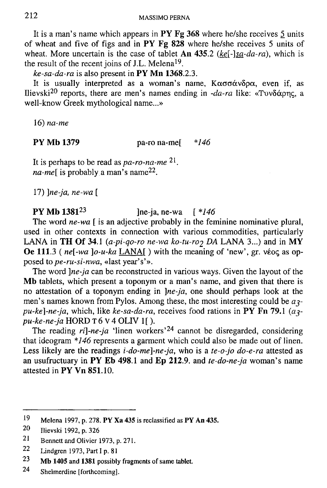It is a man's name which appears in **PY Fg 368** where he/she receives 5 units of wheat and five of figs and in **PY Fg 828** where he/she receives 5 units of wheat. More uncertain is the case of tablet **An 435**.2 *(ke[-]sa-da-ra),* which is the result of the recent joins of J.L. Melena<sup>19</sup>.

*ke-sa-da-ra* is also present in **PY Mn 1368**.2.3.

It is usually interpreted as a woman's name,  $K\alpha\sigma\sigma\alpha\nu\delta\rho\alpha$ , even if, as llievski<sup>20</sup> reports, there are men's names ending in *-da-ra* like: «Τυνδάρης, a well-know Greek mythological name...»

16) *na-me* 

**PY Mb 1379** pa-ro na-me[ *\*146* 

It is perhaps to be read as *pa-ro-na-me 2 1 .*  na-me[ is probably a man's name<sup>22</sup>.

17) *]ne-ja, ne-wa [* 

**PY Mb 1381<sup>23</sup>** ]ne-ja, ne-wa [ *\*146* 

The word *ne-wa* [ is an adjective probably in the feminine nominative plural, used in other contexts in connection with various commodities, particularly LANA in TH Of 34.1  $(a-pi-qo-ro\ ne-wa\ ko-tu-ro\ 2\ DA\ LANA\ 3...)$  and in MY **Oe 111.3** (*ne*[-wa ]o-u-ka LANA] ) with the meaning of 'new', gr. véoc as opposed to*pe-ru-si-nwa,* «last year's'».

The word *]ne-ja* can be reconstructed in various ways. Given the layout of the **Mb** tablets, which present a toponym or a man's name, and given that there is no attestation of a toponym ending in *]ne-ja,* one should perhaps look at the men's names known from Pylos. Among these, the most interesting could be  $a_3$  $pu-ke$ ]-ne-ja, which, like  $ke$ -sa-da-ra, receives food rations in PY Fn 79.1 ( $a_3$ *pu-ke-ne-ja* HORD **T** 6 V 4 OLIV 1[).

The reading *ri*]-ne-ja 'linen workers'<sup>24</sup> cannot be disregarded, considering that ideogram *\*146* represents a garment which could also be made out of linen. Less likely are the readings *i-do-me]-ne-ja,* who is a *te-o-jo do-e-ra* attested as an usufructuary in **PY Eb 498**.1 and **Ep 212.9.** and *te-do-ne-ja* woman's name attested in **PY Vn 851**.10.

**2 4 Shelmerdine [forthcoming].** 

**<sup>1</sup> 9 Melena 1997, p. 278. PY Xa 435 is reclassified as PY An 435.** 

**<sup>2</sup> 0 Ilievski 1992, p. 326** 

**<sup>2</sup> 1 Bennett and Olivier 1973, p. 271.** 

**<sup>2</sup> 2 Lindgren 1973, Part I p. 81** 

**<sup>2</sup> 3 Mb 1405 and 1381 possibly fragments of same tablet.**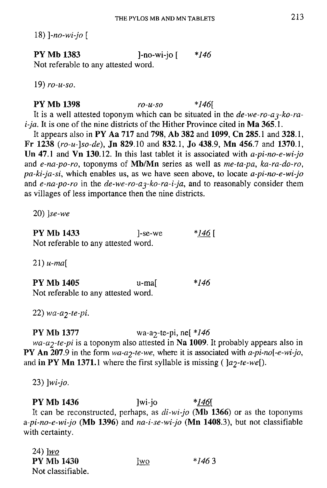18) *]-no-wi-jo [* 

P Y **Mb 1383** ]-no-wi-jo [ *\*146*  Not referable to any attested word.

19) *ro-u-so.* 

# P Y **Mb 1398** *ro-u-so \*146{*

It is a well attested toponym which can be situated in the *de-we-ro-aj-ko-rai-ja.* It is one of the nine districts of the Hither Province cited in **Ma 365**.1.

It appears also in PY **Aa 717** and **798, Ab 382** and **1099, Cn 285**.1 and **328**.1, Fr **1238** *(ro-u-]so-de),* **Jn 829**.10 and **832**.1, **Jo 438**.9, **Mn 456.7** and **1370**.1, **Un 47**.1 and **Vn 130**.12. In this last tablet it is associated with *a-pi-no-e-wi-jo*  and *e-na-po-ro,* toponyms of **Mb/Mn** series as well as *me-ta-pa, ka-ra-do-ro, pa-ki-ja-si,* which enables us, as we have seen above, to locate *a-pi-no-e-wi-jo*  and *e-na-po-ro* in the *de-we-ro-a<sub>3</sub>-ko-ra-i-ja*, and to reasonably consider them as villages of less importance then the nine districts.

20) *]se-we* 

PY **Mb 1433** ]-se-we *\*146 [*  Not referable to any attested word.

21) *u-ma[* 

PY **Mb 1405** u-ma[ *\*146*  Not referable to any attested word.

22) *wa-a2~te-pi.* 

# **PY** Mb 1377 wa-a<sub>2</sub>-te-pi, ne[ *\*146*

*wa-a2-te-pi* is a toponym also attested in **Na 1009.** It probably appears also in PY **An 207**.9 in the form *wa-aj-te-we,* where it is associated with *a-pi-no[-e-wi-jo,*  and in PY Mn 1371.1 where the first syllable is missing  $\left( \frac{a_2-te-we}{c} \right)$ .

23) *]wi-jo.* 

P Y **Mb 1436** ]wi-jo *\*146\*  It can be reconstructed, perhaps, as *di-wi-jo* **(Mb 1366)** or as the toponyms *a-pi-no-e-wi-jo* **(Mb 1396)** and *na-i-se-wi-jo* **(Mn 1408**.3), but not classifiable with certainty.

| 24) $\frac{1}{2}$ |     |         |
|-------------------|-----|---------|
| <b>PY Mb 1430</b> | wo] | $*1463$ |
| Not classifiable. |     |         |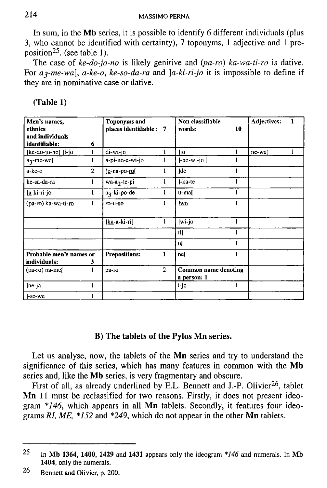In sum, in the **Mb** series, it is possible to identify 6 different individuals (plus 3, who cannot be identified with certainty), 7 toponyms, 1 adjective and 1 preposition<sup>25</sup>. (see table 1).

The case of ke-do-jo-no is likely genitive and  $(pa-ro)$  ka-wa-ti-ro is dative. For *aj-me-wa[, a-ke-o, ke-so-da-ra* and *]a-ki-ri-jo* it is impossible to define if they are in nominative case or dative.

| Men's names,<br>ethnics<br>and individuals<br>identifiable: | 6              | <b>Toponyins and</b><br>places identifiable : 7 |                | Non classifiable<br>words:                 | 10 | Adjectives: | 1 |
|-------------------------------------------------------------|----------------|-------------------------------------------------|----------------|--------------------------------------------|----|-------------|---|
| ]ke-do-jo-no[  i-jo                                         |                | di-wi-jo                                        |                | lio                                        |    | ne-waj      |   |
| a <sub>3</sub> -me-wa[                                      |                | a-pi-no-e-wi-jo                                 |                | ]-no-wi-jo [                               |    |             |   |
| a-ke-o                                                      | $\overline{2}$ | e-na-po-rol                                     | 1              | <b>lde</b>                                 |    |             |   |
| ke-sa-da-ra                                                 |                | wa-a <sub>2</sub> -te-pi                        |                | ]-ka-te                                    |    |             |   |
| <u> a</u> -ki-ri-jo                                         |                | $a_1$ -ki-po-de                                 | ı              | u-mal                                      |    |             |   |
| (pa-ro) ka-wa-ti-ro                                         |                | $ro-u-so$                                       | ı              | <u>lwo</u>                                 |    |             |   |
|                                                             |                | ]ka-a-ki-ri[                                    | 1              | wi jo                                      |    |             |   |
|                                                             |                |                                                 |                | ti[                                        |    |             |   |
|                                                             |                |                                                 |                | 쁘                                          |    |             |   |
| Probable men's names or<br>individuals:                     | 3              | <b>Prepositions:</b>                            | 1              | nel                                        |    |             |   |
| $(pa-ro)$ na-me $[$                                         | ı              | pa-ro                                           | $\overline{2}$ | <b>Common name denoting</b><br>a person: 1 |    |             |   |
| Ine ja                                                      |                |                                                 |                | i jo                                       |    |             |   |
| l-se-we                                                     |                |                                                 |                |                                            |    |             |   |

| (Table 1) |
|-----------|
|-----------|

# **B) The tablets of the Pylos Mn series.**

Let us analyse, now, the tablets of the **Mn** series and try to understand the significance of this series, which has many features in common with the **Mb**  series and, like the **Mb** series, is very fragmentary and obscure.

First of all, as already underlined by E.L. Bennett and J.-P. Olivier<sup>26</sup>, tablet **Mn** 11 must be reclassified for two reasons. Firstly, it does not present ideogram *\*146,* which appears in all **Mn** tablets. Secondly, it features four ideograms *RI, ME, \*152* and *\*249,* which do not appear in the other **Mn** tablets.

<sup>25</sup> **In Mb 1364, 1400, 1429 and 1431 appears only the ideogram** *\*J46* **and numerals. In Mb 1404, only the numerals.** 

<sup>26</sup> **Bennett and Olivier, p. 200.**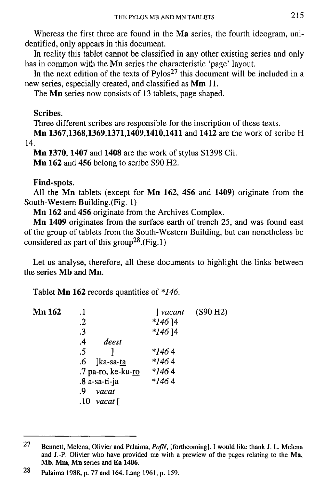Whereas the first three are found in the **Ma** series, the fourth ideogram, unidentified, only appears in this document.

In reality this tablet cannot be classified in any other existing series and only has in common with the **Mn** series the characteristic 'page' layout.

In the next edition of the texts of  $Pylos<sup>27</sup>$  this document will be included in a new series, especially created, and classified as **Mm** 11.

The **Mn** series now consists of 13 tablets, page shaped.

**Scribes.** 

Three different scribes are responsible for the inscription of these texts.

**Mn 1367,1368,1369,1371,1409,1410,1411** and **1412** are the work of scribe H 14.

**Mn 1370,1407** and **1408** are the work of stylus SI398 Cii. **Mn 162** and **456** belong to scribe S90 H2.

# **Find-spots.**

All the Mn tablets (except for Mn 162, 456 and 1409) originate from the South-Western Building.(Fig. 1)

**Mn 162** and **456** originate from the Archives Complex.

**Mn 1409** originates from the surface earth of trench 25, and was found east of the group of tablets from the South-Western Building, but can nonetheless be considered as part of this group<sup>28</sup>.(Fig.1)

Let us analyse, therefore, all these documents to highlight the links between the series **Mb** and **Mn.** 

Tablet **Mn 162** records quantities of *\*146.* 

| Mn 162 |                    |           | $\frac{1}{2}$ vacant (S90 H2) |
|--------|--------------------|-----------|-------------------------------|
|        | .2                 | $*146$ ]4 |                               |
|        | .3                 | $*146$ 14 |                               |
|        | .4<br>deest        |           |                               |
|        | .5                 | *1464     |                               |
|        | ]ka-sa-ta<br>.6    | $*1464$   |                               |
|        | .7 pa-ro, ke-ku-ro | $*1464$   |                               |
|        | .8 a-sa-ti-ja      | $*1464$   |                               |
|        | .9<br>vacat        |           |                               |
|        | $.10$ vacat [      |           |                               |

<sup>27</sup> **Bennett, Melena, Olivier and Palaima,** *PoJN,* **[forthcoming]. I would like thank J. L. Melena and J.-P. Olivier who have provided me with a prewiew of the pages relating to the Ma, Mb, Mm, Mn series and Ea 1406.** 

<sup>28</sup> **Palaima 1988, p. 77 and 164. Lang 1961, p. 159.**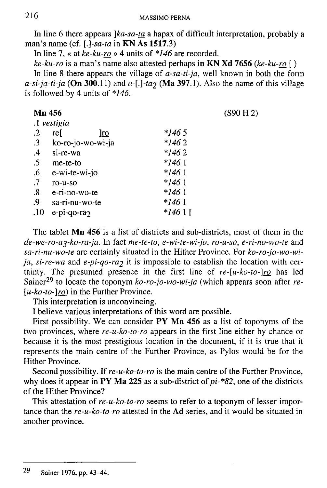In line 6 there appears *]ka-sa-ta* a hapax of difficult interpretation, probably a man's name (cf. *[.]-sa-ta* in **KN As 1517.3)** 

In line 7, « at *ke-ku-ro* » 4 units of *\*146* are recorded.

*ke-ku-ro* is a man's name also attested perhaps **in KN Xd 7656** *(ke-ku-ro [)* 

In line 8 there appears the village of *a-sa-ti-ja,* well known in both the form  $a-si-ja-ti-ja$  (On 300.11) and  $a-[-1,1]$  and  $a-[-1,1]$ . Also the name of this village is followed by 4 units of *\*146.* 

| Mn 456            |                   |           | (S90 H 2) |
|-------------------|-------------------|-----------|-----------|
|                   | .1 vestigia       |           |           |
| $\cdot$           | rel<br><u>lro</u> | *1465     |           |
| $\cdot$ 3         | ko-ro-jo-wo-wi-ja | $*1462$   |           |
| $\mathcal{A}$     | si-re-wa          | $*1462$   |           |
| $.5\,$            | me-te-to          | $*1461$   |           |
| .6                | e-wi-te-wi-jo     | $*1461$   |           |
| .7                | ro-u-so           | $*1461$   |           |
| $\boldsymbol{.8}$ | e-ri-no-wo-te     | *146 1    |           |
| .9                | sa-ri-nu-wo-te    | $*1461$   |           |
| .10               | e-pi-qo-ra2       | $*1461$ [ |           |

The tablet **Mn 456** is a list of districts and sub-districts, most of them in the *de-we-ro-ayko-ra-ja.* In fact *me-te-to, e-wi-te-wi-jo, ro-u-so, e-ri-no-wo-te* and *sa-ri-nu-wo-te* are certainly situated in the Hither Province. For *ko-ro-jo-wo-wija, si-re-wa* and *e-pi-qo-ra*<sub>2</sub> it is impossible to establish the location with certainty. The presumed presence in the first line of *re-[u-ko-to-]ro* has led Sainer<sup>29</sup> to locate the toponym ko-ro-jo-wo-wi-ja (which appears soon after re-*[u-ko-to-]ro)* in the Further Province.

This interpretation is unconvincing.

I believe various interpretations of this word are possible.

First possibility. We can consider **PY Mn 456** as a list of toponyms of the two provinces, where *re-u-ko-to-ro* appears in the first line either by chance or because it is the most prestigious location in the document, if it is true that it represents the main centre of the Further Province, as Pylos would be for the Hither Province.

Second possibility. If *re-u-ko-to-ro* is the main centre of the Further Province, why does it appear in **PY Ma 225** as a sub-district of *pi-\*82,* one of the districts of the Hither Province?

This attestation of *re-u-ko-to-ro* seems to refer to a toponym of lesser importance than the *re-u-ko-to-ro* attested in the **Ad** series, and it would be situated in another province.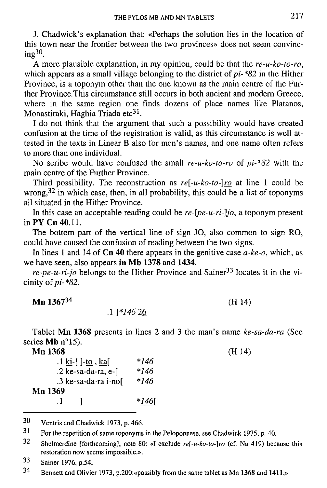J. Chadwick's explanation that: «Perhaps the solution lies in the location of this town near the frontier between the two provinces» does not seem convincing<sup>30</sup>.

A more plausible explanation, in my opinion, could be that the *re-u-ko-to-ro,*  which appears as a small village belonging to the district of *pi-\*82* in the Hither Province, is a toponym other than the one known as the main centre of the Further Province.This circumstance still occurs in both ancient and modern Greece, where in the same region one finds dozens of place names like Platanos, Monastiraki, Haghia Triada etc<sup>31</sup>.

I do not think that the argument that such a possibility would have created confusion at the time of the registration is valid, as this circumstance is well attested in the texts in Linear B also for men's names, and one name often refers to more than one individual.

No scribe would have confused the small *re-u-ko-to-ro* of *pi-\*82* with the main centre of the Further Province.

Third possibility. The reconstruction as *re[-u-ko-to-]ro* at line 1 could be wrong,  $32$  in which case, then, in all probability, this could be a list of toponyms all situated in the Hither Province.

In this case an acceptable reading could be *re-[pe-u-ri-]jo\_,* a toponym present in PY Cn 40.11.

The bottom part of the vertical line of sign JO, also common to sign RO, could have caused the confusion of reading between the two signs.

In lines 1 and 14 of **Cn 40** there appears in the genitive case *a-ke-o,* which, as we have seen, also appears **in Mb 1378** and **1434.** 

*re-pe-u-ri-jo* belongs to the Hither Province and Sainer<sup>33</sup> locates it in the vicinity of *pi-\*82.* 

**Mn 1367<sup>34</sup>**

.1 *]\*146* 26

Tablet **Mn 1368** presents in lines 2 and 3 the man's name *ke-sa-da-ra* (See series **Mb** n°15).

(H 14)

| Mn 1368                                          |       | (H 14) |
|--------------------------------------------------|-------|--------|
| $\cdot$ 1 ki <sup>-[</sup> ]-to, ka <sup>[</sup> | *146  |        |
| $.2$ ke-sa-da-ra, e- $\lceil$                    | *146  |        |
| .3 ke-sa-da-ra i-nof                             | *146  |        |
| Mn 1369                                          |       |        |
| $\mathbf{H}$                                     | *1461 |        |

**3 0 Ventris and Chadwick 1973, p. 466.** 

**3 4 Bennett and Olivier 1973, p.200:«possibly from the same tablet as Mn 1368 and 1411;»** 

**<sup>3</sup>** For the repetition of same toponyms in the Peloponnese, see Chadwick 1975, p. 40.

**<sup>3</sup> 2 Shelmerdine [forthcoming], note 80: «I exclude** *re[-u-ko-to-]ro* **(cf. Na 419) because this restoration now seems impossible.\*.** 

**<sup>3</sup> 3 Sainer 1976, p.54.**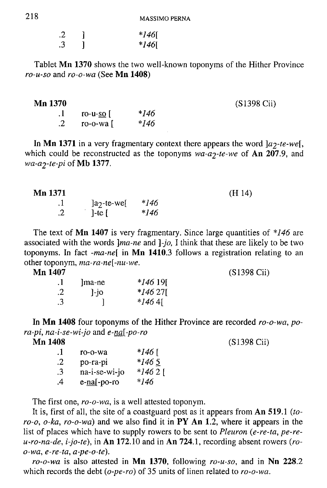| .2 | $*146$ [ |
|----|----------|
| .3 | $*146$ [ |

Tablet **Mn 1370** shows the two well-known toponyms of the Hither Province *ro-u-so* and *ro-o-wa* (See **Mn 1408)** 

. 1 ro-u-so [ *\*146 .2* ro-o-wa [ *\*146* 

In Mn 1371 in a very fragmentary context there appears the word  $]a_2$ -te-we[, which could be reconstructed as the toponyms  $wa-a^2$ -te-we of An 207.9, and *wa-<22-te-pi* of **Mb 1377.** 

#### **Mn 1371** (H 14)

| $\cdot$    | $]a_2$ -te-we[ | *146 |
|------------|----------------|------|
| $\cdot$ .2 | ]-te $[$       | *146 |

The text of **Mn 1407** is very fragmentary. Since large quantities of *\*146* are associated with the words *[\ma-ne](file:///ma-ne)* and *]-jo,* I think that these are likely to be two toponyms. In fact *-ma-ne[* in **Mn 1410**.3 follows a registration relating to an other toponym, *ma-ra-ne[-nu-we.* 

**Mn 1407** (S1398 Cii)

| .   |         |          |
|-----|---------|----------|
| . 1 | lma-ne  | $*14619$ |
| .2  | $1$ -jo | $*14627$ |
| .3  |         | $*1464$  |

In **Mn 1408** four toponyms of the Hither Province are recorded *ro-o-wa, pora-pi, na-i-se-wi-jo* and *e-na\-po-ro* 

| . 1 | ro-o-wa       | $*146$ [ |
|-----|---------------|----------|
| .2  | po-ra-pi      | $*1465$  |
| .3  | na-i-se-wi-jo | *14621   |
| .4  | e-na[-po-ro   | *146     |

The first one, *ro-o-wa,* is a well attested toponym.

It is, first of all, the site of a coastguard post as it appears from **An 519**.1 *(toro-o, o-ka, ro-o-wa)* and we also find it in **PY An 1**.2, where it appears in the list of places which have to supply rowers to be sent to *Pleuron (e-re-ta, pe-reu-ro-na-de, i-jo-te),* in **An 172**.10 and in **An 724**.1, recording absent rowers *(roo-wa, e-re-ta, a-pe-o-te).* 

*ro-o-wa* is also attested in **Mn 1370,** following *ro-u-so,* and in **Nn 228**.2 which records the debt *(o-pe-ro)* of 35 units of linen related to *ro-o-wa.* 

**Mn 1370** (S1398 Cii)

**Mn 1408** (S1398 Cii)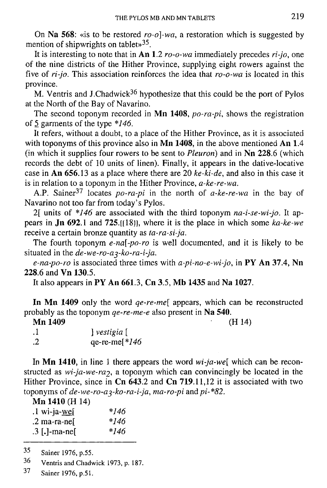On **Na 568:** «is to be restored *ro-o]-wa,* a restoration which is suggested by mention of shipwrights on tablet»<sup>35</sup>.

It is interesting to note that in **An 1**.2 *ro-o-wa* immediately precedes *ri-jo,* one of the nine districts of the Hither Province, supplying eight rowers against the five of *ri-jo.* This association reinforces the idea that *ro-o-wa* is located in this province.

M. Ventris and J.Chadwick<sup>36</sup> hypothesize that this could be the port of Pylos at the North of the Bay of Navarino.

The second toponym recorded in **Mn 1408,** *po-ra-pi,* shows the registration of 5 garments of the type \*746.

It refers, without a doubt, to a place of the Hither Province, as it is associated with toponyms of this province also in **Mn 1408**, in the above mentioned **An 1.4** (in which it supplies four rowers to be sent to *Pleurori)* and in **Nn 228**.6 (which records the debt of 10 units of linen). Finally, it appears in the dative-locative case in **An 656**.13 as a place where there are 20 *ke-ki-de,* and also in this case it is in relation to a toponym in the Hither Province, *a-ke-re-wa.* 

A.P. Sainer<sup>37</sup> locates *po-ra-pi* in the north of *a-ke-re-wa* in the bay of Navarino not too far from today's Pylos.

2f units of *\*146* are associated with the third toponym *na-i-se-wi-jo.* It appears in **Jn 692**.1 and **725**.[[18]], where it is the place in which some *ka-ke-we*  receive a certain bronze quantity as *ta-ra-si-ja.* 

The fourth toponym *e-na[-po-ro* is well documented, and it is likely to be situated in the *de-we-ro-a<sub>3</sub>-ko-ra-i-ja*.

*e-na-po-ro* is associated three times with *a-pi-no-e-wi-jo,* in **PY An 37.4, Nn 228**.6 and **Vn 130**.5.

It also appears in **PY An 661**.3, **Cn 3**.5, **Mb 1435** and **Na 1027.** 

**In Mn 1409** only the word *qe-re-me[* appears, which can be reconstructed probably as the toponym *qe-re-me-e* also present in **Na 540.** 

| Mn 1409 |                 | (H 14) |
|---------|-----------------|--------|
| . 1     | vestigia [      |        |
| .2      | qe-re-me $*146$ |        |

In **Mn 1410,** in line 1 there appears the word *wi-ja-we[* which can be reconstructed as  $wi$ -ja-we-ra<sub>2</sub>, a toponym which can convincingly be located in the Hither Province, since in Cn 643.2 and Cn 719.11,12 it is associated with two toponyms of *de-we-ro-a^-ko-ra-i-ja, ma-ro-pi* and*pi-\*82.* 

**Mn 1410** (H 14)

| .1 wi-ja- <u>we</u> [ | *146 |
|-----------------------|------|
| .2 ma-ra-nel          | *146 |
| $.3$ [.]-ma-ne[       | *146 |

**<sup>35</sup>  Sainer 1976, p.55.** 

**<sup>36</sup>  Ventris and Chadwick 1973, p. 187.** 

**Sainer 1976, p.51. 37**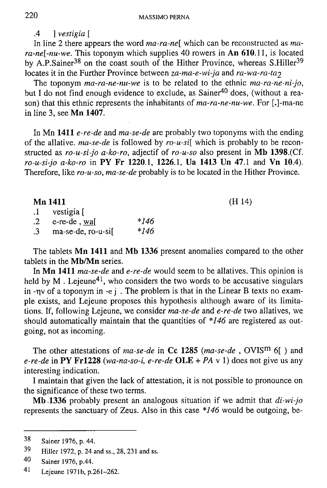.4 ] *vestigia [* 

In line 2 there appears the word *ma-ra-ne[* which can be reconstructed as *mara-ne[-nu-we.* This toponym which supplies 40 rowers in **An 610**.11, is located by A.P.Sainer<sup>38</sup> on the coast south of the Hither Province, whereas S.Hiller<sup>39</sup> locates it in the Further Province between *za-ma-e-wi-ja* and *ra-wa-ra-ta<sub>2</sub>* 

The toponym *ma-ra-ne-nu-we* is to be related to the ethnic *ma-ra-ne-ni-jo,*  but I do not find enough evidence to exclude, as Sainer<sup>40</sup> does, (without a reason) that this ethnic represents the inhabitants of *ma-ra-ne-nu-we.* For [.]-ma-ne in line 3, see **Mn 1407.** 

In Mn **1411** *e-re-de* and *ma-se-de* are probably two toponyms with the ending of the allative. *ma-se-de* is followed by *ro-u-si[* which is probably to be reconstructed as *ro-u-si-jo a-ko-ro,* adjectif of *ro-u-so* also present in **Mb 1398.**(Cf. *ro-u-si-jo a-ko-ro* in **PY Fr 1220**.1, **1226**.1, **Ua 1413 Un 47**.1 and **Vn 10**.4). Therefore, like *ro-u-so, ma-se-de* probably is to be located in the Hither Province.

| Mn 1411           |      | (H 14) |
|-------------------|------|--------|
| 1 vestigia        |      |        |
| $2$ e-re-de, wal  | *146 |        |
| ma-se-de, ro-u-si | *146 |        |

The tablets **Mn 1411** and **Mb 1336** present anomalies compared to the other tablets in the **Mb/Mn** series.

In **Mn 1411** *ma-se-de* and *e-re-de* would seem to be allatives. This opinion is held by M. Lejeune<sup>41</sup>, who considers the two words to be accusative singulars in -ny of a toponym in -e j. The problem is that in the Linear B texts no example exists, and Lejeune proposes this hypothesis although aware of its limitations. If, following Lejeune, we consider *ma-se-de* and *e-re-de* two allatives, we should automatically maintain that the quantities of *\*146* are registered as outgoing, not as incoming.

The other attestations of *ma-se-de* in Cc 1285 (*ma-se-de*, OVIS<sup>m</sup> 6[) and *e-re-de* in **PY Frl228** *(wa-na-so-i, e-re-de* **OLE** *+ PAv* 1) does not give us any interesting indication.

I maintain that given the lack of attestation, it is not possible to pronounce on the significance of these two terms.

**Mb 1336** probably present an analogous situation if we admit that *di-wi-jo*  represents the sanctuary of Zeus. Also in this case *\*146* would be outgoing, be-

**J S Sainer 1976, p. 44.** 

**<sup>3</sup> 9 Hiller 1972, p. 24 and ss., 28, 231 and ss.** 

**<sup>4</sup> 0 Sainer 1976, p.44.** 

**<sup>4</sup> 1 Lejeune 1971b, p.261-262.**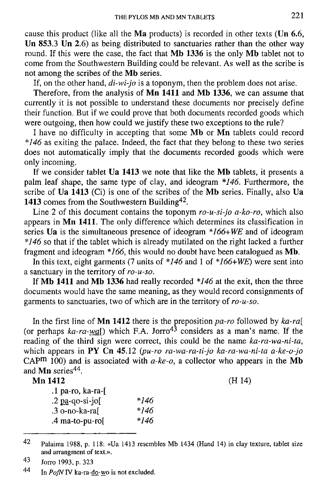cause this product (like all the **Ma** products) is recorded in other texts **(Un 6**.6, **Un 853**.3 **Un 2**.6) as being distributed to sanctuaries rather than the other way round. If this were the case, the fact that **Mb 1336** is the only **Mb** tablet not to come from the Southwestern Building could be relevant. As well as the scribe is not among the scribes of the **Mb** series.

If, on the other hand, *di-wi-jo* is a toponym, then the problem does not arise.

Therefore, from the analysis of **Mn 1411** and **Mb 1336,** we can assume that currently it is not possible to understand these documents nor precisely define their function. But if we could prove that both documents recorded goods which were outgoing, then how could we justify these two exceptions to the rule?

I have no difficulty in accepting that some **Mb** or **Mn** tablets could record *\*146* as exiting the palace. Indeed, the fact that they belong to these two series does not automatically imply that the documents recorded goods which were only incoming.

If we consider tablet **Ua 1413** we note that like the **Mb** tablets, it presents a palm leaf shape, the same type of clay, and ideogram *\*146.* Furthermore, the scribe of **Ua 1413** (Ci) is one of the scribes of the **Mb** series. Finally, also **Ua**  1413 comes from the Southwestern Building<sup>42</sup>.

Line **2** of this document contains the toponym *ro-u-si-jo a-ko-ro,* which also appears in **Mn 1411.** The only difference which determines its classification in series **Ua** is the simultaneous presence of ideogram *\*166+WE* and of ideogram *\*146* so that if the tablet which is already mutilated on the right lacked a further fragment and ideogram *\*166,* this would no doubt have been catalogued as **Mb.** 

In this text, eight garments (7 units of *\*146* and 1 of *\*166+WE)* were sent into a sanctuary in the territory of *ro-u-so.* 

If **Mb 1411** and **Mb 1336** had really recorded *\*146* at the exit, then the three documents would have the same meaning, as they would record consignments of garments to sanctuaries, two of which are in the territory of *ro-u-so.* 

In the first line of **Mn 1412** there is the preposition *pa-ro* followed by *ka-ra[*  (or perhaps ka-ra-wal) which F.A. Jorro<sup>43</sup> considers as a man's name. If the reading of the third sign were correct, this could be the name *ka-ra-wa-ni-ta,*  which appears in PY Cn 45.12 (pu-ro ra-wa-ra-ti-jo ka-ra-wa-ni-ta a-ke-o-jo CAP<sup>m</sup> 100) and is associated with  $a$ -ke-o, a collector who appears in the Mb and **Mn** series<sup>44</sup>.

# **Mn 1412** (H 14)

| $*146$ |
|--------|
| $*146$ |
| *146   |
|        |

<sup>42</sup> **Palaima 1988, p. 118: «Ua 1413 resembles Mb 1434 (Hand 14) in clay texture, tablet size and arrangment of text.».** 

<sup>43</sup> **Jorro 1993, p. 323** 

<sup>44</sup> **In** *PofN* **IV ka-ra-do-wo is not excluded.**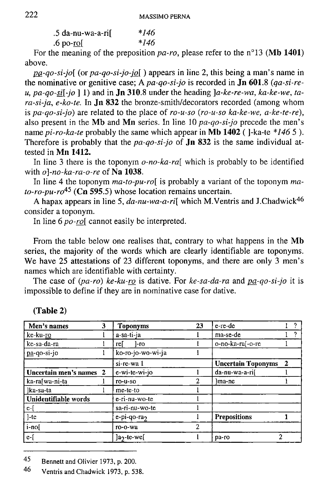| .5 da-nu-wa-a-rif | *146 |
|-------------------|------|
| .6 po-ro[         | *146 |

For the meaning of the preposition *pa-ro,* please refer to the n°13 **(Mb 1401)**  above.

*P&-qo-si-jo[* (or *pa-qo-si-jo-jo[*) appears in line 2, this being a man's name in the nominative or genitive case; A *pa-qo-si-jo* is recorded in **Jn 601**.8 *(qa-si-reu, pa-qo-si[-jo* ] 1) and in **Jn 310**.8 under the heading *]a-ke-re-wa, ka-ke-we, tara-si-ja, e-ko-te.* In **Jn 832** the bronze-smith/decorators recorded (among whom is *pa-qo-si-jo)* are related to the place of *ro-u-so (ro-u-so ka-ke-we, a-ke-te-re),*  also present in the **Mb** and **Mn** series. In line 10 *pa-qo-si-jo* precede the men's name *pi-ro-ka-te* probably the same which appear in **Mb 1402** (]-ka-te *\*146* 5 ). Therefore is probably that the *pa-qo-si-jo* of **Jn 832** is the same individual attested in **Mn 1412.** 

In line 3 there is the toponym *o-no-ka-ra[* which is probably to be identified with *o]-no-ka-ra-o-re* of **Na 1038.** 

In line 4 the toponym *ma-to-pu-ro[* is probably a variant of the toponym *mato-ro-pu-ro45* **(Cn 595**.5) whose location remains uncertain.

A hapax appears in line 5,  $da$ -nu-wa-a-ri<sup>[</sup> which M.Ventris and J.Chadwick<sup>46</sup> consider a toponym.

In line 6 *po-ro[* cannot easily be interpreted.

From the table below one realises that, contrary to what happens in the **Mb**  series, the majority of the words which are clearly identifiable are toponyms. We have 25 attestations of 23 different toponyms, and there are only 3 men's names which are identifiable with certainty.

The case of *(pa-ro) ke-ku-ro* is dative. For *ke-sa-da-ra* and *pa-qo-si-jo* it is impossible to define if they are in nominative case for dative.

| Men's names             | 3 | <b>Toponyms</b>        | 23 | e-re-de                   |              | 2 |
|-------------------------|---|------------------------|----|---------------------------|--------------|---|
| ke-ku-ro                |   | a-sa-ti-ja             |    | ma-se-de                  |              |   |
| ke-sa-da-ra             |   | rel<br>l-ro            |    | o-no-ka-ra[-o-re          |              |   |
| pa-qo-si-jo             |   | ko-ro-jo-wo-wi-ja      |    |                           |              |   |
|                         |   | si-re-wa 1             |    | <b>Uncertain Toponyms</b> | $\mathbf{2}$ |   |
| Uncertain men's names 2 |   | e-wi-te-wi-jo          |    | da-nu-wa-a-rif            |              |   |
| ka-ra[wa-ni-ta          |   | ro-u-so                |    | lma-ne                    |              |   |
| ]ka-sa-ta               |   | me-te-to               |    |                           |              |   |
| Unidentifiable words    |   | e-ri-nu-wo-te          |    |                           |              |   |
| $e-f$                   |   | sa-ri-nu-wo-te         |    |                           |              |   |
| $]-te$                  |   | $e$ -pi-qo-ra $\gamma$ |    | Prepositions              |              |   |
| $i$ -no $[i]$           |   | ro-o-wa                | 2  |                           |              |   |
| $e-$ [                  |   | $]a_2$ -te-we[         |    | pa-ro                     |              |   |

**(Table 2)** 

45 **Bennett and Olivier 1973, p. 200.** 

46 **Ventris and Chadwick 1973, p. 538.**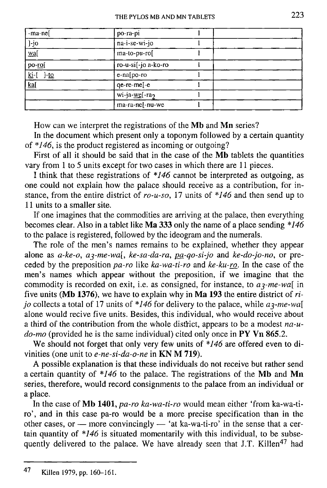| -ma-nel                            | po-ra-pi            |  |  |
|------------------------------------|---------------------|--|--|
| ]-jo                               | na-i-se-wi-jo       |  |  |
| wa[                                | ma-to-pu-ro[        |  |  |
| po-rol                             | ro-u-si[-jo a-ko-ro |  |  |
| <u>ki</u> -[<br>$]-\underline{to}$ | e-na[po-ro          |  |  |
| ka[                                | qe-re-me[-e         |  |  |
|                                    | wi-ja-we[-ra2       |  |  |
|                                    | ma-ra-ne[-nu-we     |  |  |

How can we interpret the registrations of the **Mb** and **Mn** series?

In the document which present only a toponym followed by a certain quantity of *\*146,* is the product registered as incoming or outgoing?

First of all it should be said that in the case of the **Mb** tablets the quantities vary from 1 to 5 units except for two cases in which there are 11 pieces.

I think that these registrations of *\*146* cannot be interpreted as outgoing, as one could not explain how the palace should receive as a contribution, for instance, from the entire district of *ro-u-so,* 17 units of *\*146* and then send up to 11 units to a smaller site.

If one imagines that the commodities are arriving at the palace, then everything becomes clear. Also in a tablet like **Ma 333** only the name of a place sending *\*146*  to the palace is registered, followed by the ideogram and the numerals.

The role of the men's names remains to be explained, whether they appear alone as *a-ke-o, a^-me-wa[, ke-sa-da-ra, pa-qo-si-jo* and *ke-do-jo-no,* or preceded by the preposition *pa-ro* like *ka-wa-ti-ro* and *ke-ku-ro.* In the case of the men's names which appear without the preposition, if we imagine that the commodity is recorded on exit, i.e. as consigned, for instance, to *a^-me-wa[* in five units **(Mb 1376),** we have to explain why in **Ma 193** the entire district of *rijo* collects a total of 17 units of  $*146$  for delivery to the palace, while  $a_3$ -me-wall alone would recive five units. Besides, this individual, who would receive about a third of the contribution from the whole district, appears to be a modest *na-udo-mo* (provided he is the same individual) cited only once in **PY Vn 865.2.** 

We should not forget that only very few units of *\*146* are offered even to divinities (one unit to *e-ne-si-da-o-ne* in **KN M 719).** 

A possible explanation is that these individuals do not receive but rather send a certain quantity of *\*146* to the palace. The registrations of the **Mb** and **Mn**  series, therefore, would record consignments to the palace from an individual or a place.

In the case of **Mb 1401,** *pa-ro ka-wa-ti-ro* would mean either 'from ka-wa-tiro', and in this case pa-ro would be a more precise specification than in the other cases, or — more convincingly — 'at ka-wa-ti-ro' in the sense that a certain quantity of *\*146* is situated momentarily with this individual, to be subsequently delivered to the palace. We have already seen that J.T. Killen<sup>47</sup> had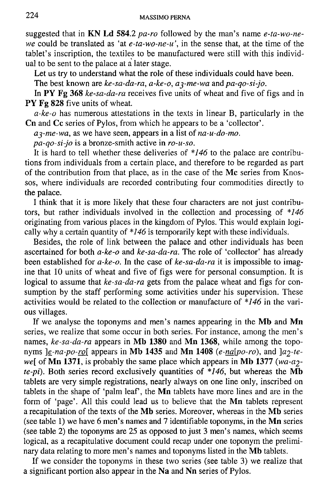suggested that in **KN** Ld **584**.2 *pa-ro* followed by the man's name *e-ta-wo-newe* could be translated as 'at *e-ta-wo-ne-u',* in the sense that, at the time of the tablet's inscription, the textiles to be manufactured were still with this individual to be sent to the palace at a later stage.

Let us try to understand what the role of these individuals could have been.

The best known are *ke-sa-da-ra, a-ke-o, a^-me-wa* and *pa-qo-si-jo.* 

In PY Fg 368 *ke-sa-da-ra* receives five units of wheat and five of figs and in PY Fg 828 five units of wheat.

*a-ke-o* has numerous attestations in the texts in linear B, particularly in the **Cn** and **Cc** series of Pylos, from which he appears to be a 'collector'.

*a^-me-wa,* as we have seen, appears in a list of *na-u-do-mo.* 

*pa-qo-si-jo* is a bronze-smith active in *ro-u-so.* 

It is hard to tell whether these deliveries of *\*146* to the palace are contributions from individuals from a certain place, and therefore to be regarded as part of the contribution from that place, as in the case of the **Mc** series from Knossos, where individuals are recorded contributing four commodities directly to the palace.

I think that it is more likely that these four characters are not just contributors, but rather individuals involved in the collection and processing of *\*146*  originating from various places in the kingdom of Pylos. This would explain logically why a certain quantity of *\*146* is temporarily kept with these individuals.

Besides, the role of link between the palace and other individuals has been ascertained for both *a-ke-o* and *ke-sa-da-ra.* The role of 'collector' has already been established for *a-ke-o.* In the case of *ke-sa-da-ra* it is impossible to imagine that 10 units of wheat and five of figs were for personal consumption. It is logical to assume that *ke-sa-da-ra* gets from the palace wheat and figs for consumption by the staff performing some activities under his supervision. These activities would be related to the collection or manufacture of *\*146* in the various villages.

If we analyse the toponyms and men's names appearing in the **Mb** and **Mn**  series, we realize that some occur in both series. For instance, among the men's names, *ke-sa-da-ra* appears in **Mb 1380** and **Mn 1368,** while among the toponyms  $e$ -na-po-ro[ appears in Mb 1435 and Mn 1408  $(e \cdot na[po \cdot ro)$ , and  $a\cdot p \cdot te$ *we[* of **Mn 1371,** is probably the same place which appears in **Mb 1377** *(wa-a2 te-pi).* Both series record exclusively quantities of *\*146,* but whereas the **Mb**  tablets are very simple registrations, nearly always on one line only, inscribed on tablets in the shape of 'palm leaf', the **Mn** tablets have more lines and are in the form of 'page'. All this could lead us to believe that the **Mn** tablets represent a recapitulation of the texts of the **Mb** series. Moreover, whereas in the **Mb** series (see table 1) we have 6 men's names and **7** identifiable toponyms, in the **Mn** series (see table 2) the toponyms are 25 as opposed to just 3 men's names, which seems logical, as a recapitulative document could recap under one toponym the preliminary data relating to more men's names and toponyms listed in the **Mb** tablets.

If we consider the toponyms in these two series (see table 3) we realize that a significant portion also appear in the **Na** and **Nn** series of Pylos.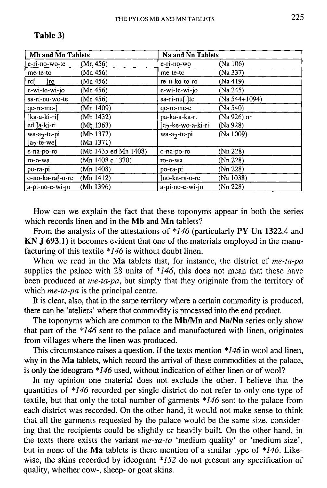| Mb and Mn Tablets             |                      | Na and Nn Tablets              |               |  |
|-------------------------------|----------------------|--------------------------------|---------------|--|
| e-ri-no-wo-te                 | (Mn 456)             | e-ri-no-wo                     | (Na 106)      |  |
| me-te-to                      | (Mn 456)             | me-te-to                       | (Na 337)      |  |
| ref<br>$\overline{\text{ro}}$ | (Mn 456)             | re-u-ko-to-ro                  | (Na 419)      |  |
| e-wi-te-wi-jo                 | (Mn 456)             | e-wi-te-wi-jo                  | (Na 245)      |  |
| sa-ri-nu-wo-te                | (Mn 456)             | $sa-ri-nu[.]$ te               | (Na 544+1094) |  |
| qe-re-me-[                    | (Mn 1409)            | qe-re-me-e                     | (Na 540)      |  |
| ]ka-a-ki-ri[                  | (Mb 1432)            | pa-ka-a-ka-ri                  | (Na 926) or   |  |
| ed la-ki-ri                   | (Mb 1363)            | Ja <sub>2</sub> -ke-wo-a-ki-ri | (Na 928)      |  |
| wa-a <sub>2</sub> -te-pi      | (Mb 1377)            | wa-a <sub>2</sub> -te-pi       | (Na 1009)     |  |
| $]a_2$ -te-we $[$             | (Mn 1371)            |                                |               |  |
| e-na-po-ro                    | (Mb 1435 ed Mn 1408) | е-па-ро-го                     | (Nn 228)      |  |
| ro-o-wa                       | (Mn 1408 e 1370)     | ro-o-wa                        | (Nn 228)      |  |
| po-ra-pi                      | (Mn 1408)            | po-ra-pi                       | (Nn 228)      |  |
| o-no-ka-raf-o-re              | (Mn 1412)            | lno-ka-ra-o-re                 | (Na 1038)     |  |
| a-pi-no-e-wi-jo               | (Mb 1396)            | a-pi-no-e-wi-jo                | (Nn 228)      |  |

### **Table 3)**

How can we explain the fact that these toponyms appear in both the series which records linen and in the **Mb** and **Mn** tablets?

From the analysis of the attestations of *\*146* (particularly **PY Un 1322**.4 and **KN J 693.1)** it becomes evident that one of the materials employed in the manufacturing of this textile *\*146* is without doubt linen.

When we read in the **Ma** tablets that, for instance, the district of *me-ta-pa*  supplies the palace with 28 units of *\*146,* this does not mean that these have been produced at *me-ta-pa,* but simply that they originate from the territory of which *me-ta-pa* is the principal centre.

It is clear, also, that in the same territory where a certain commodity is produced, there can be 'ateliers' where that commodity is processed into the end product.

The toponyms which are common to the **Mb/Mn** and **Na/Nn** series only show that part of the *\*146* sent to the palace and manufactured with linen, originates from villages where the linen was produced.

This circumstance raises a question. If the texts mention *\*146* in wool and linen, why in the **Ma** tablets, which record the arrival of these commodities at the palace, is only the ideogram *\*146* used, without indication of either linen or of wool?

In my opinion one material does not exclude the other. I believe that the quantities of *\*146* recorded per single district do not refer to only one type of textile, but that only the total number of garments *\*146* sent to the palace from each district was recorded. On the other hand, it would not make sense to think that all the garments requested by the palace would be the same size, considering that the recipients could be slightly or heavily built. On the other hand, in the texts there exists the variant *me-sa-to* 'medium quality' or 'medium size', but in none of the **Ma** tablets is there mention of a similar type of *\*146.* Likewise, the skins recorded by ideogram *\*152* do not present any specification of quality, whether cow-, sheep- or goat skins.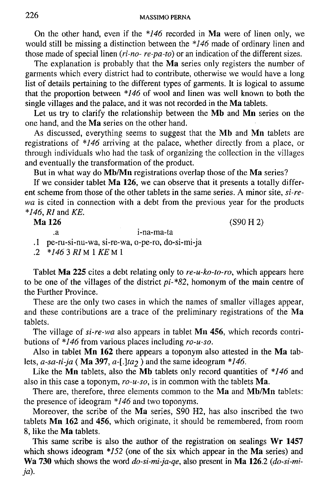On the other hand, even if the *\*146* recorded in **Ma** were of linen only, we would still be missing a distinction between the *\*146* made of ordinary linen and those made of special linen *(ri-no- re-pa-to)* or an indication of the different sizes.

The explanation is probably that the **Ma** series only registers the number of garments which every district had to contribute, otherwise we would have a long list of details pertaining to the different types of garments. It is logical to assume that the proportion between *\*146* of wool and linen was well known to both the single villages and the palace, and it was not recorded in the **Ma** tablets.

Let us try to clarify the relationship between the **Mb** and **Mn** series on the one hand, and the **Ma** series on the other hand.

As discussed, everything seems to suggest that the **Mb** and **Mn** tablets are registrations of *\*146* arriving at the palace, whether directly from a place, or through individuals who had the task of organizing the collection in the villages and eventually the transformation of the product.

But in what way do **Mb/Mn** registrations overlap those of the **Ma** series?

If we consider tablet **Ma 126,** we can observe that it presents a totally different scheme from those of the other tablets in the same series. A minor site, *si-rewa* is cited in connection with a debt from the previous year for the products *\*146, RI* and *KE.* 

**Ma 126** (S90 H 2)

i-na-ma-ta

.1 pe-ru-si-nu-wa, si-re-wa, o-pe-ro, do-si-mi-ja

.2 *\*146 3 RIM IKE Ml* 

Tablet **Ma 225** cites a debt relating only to *re-u-ko-to-ro,* which appears here to be one of the villages of the district *pi-\*82,* homonym of the main centre of the Further Province.

These are the only two cases in which the names of smaller villages appear, and these contributions are a trace of the preliminary registrations of the **Ma**  tablets.

The village of *si-re-wa* also appears in tablet **Mn 456,** which records contributions of *\*146* from various places including *ro-u-so.* 

Also in tablet **Mn 162** there appears a toponym also attested in the **Ma** tablets,  $a$ -sa-ti-ja (Ma 397,  $a$ -[.]ta<sub>2</sub>) and the same ideogram \*146.

Like the **Mn** tablets, also the **Mb** tablets only record quantities of *\*146* and also in this case a toponym, *ro-u-so,* is in common with the tablets **Ma.** 

There are, therefore, three elements common to the **Ma** and **Mb/Mn** tablets: the presence of ideogram *\*146* and two toponyms.

Moreover, the scribe of the **Ma** series, S90 H2, has also inscribed the two tablets **Mn 162** and **456,** which originate, it should be remembered, from room 8, like the **Ma** tablets.

This same scribe is also the author of the registration on sealings **Wr 1457**  which shows ideogram *\*152* (one of the six which appear in the **Ma** series) and **Wa 730** which shows the word *do-si-mi-ja-qe,* also present in **Ma 126**.2 *(do-si-mija).*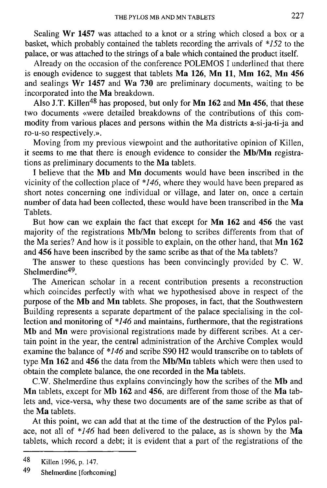Sealing Wr **1457** was attached to a knot or a string which closed a box or a basket, which probably contained the tablets recording the arrivals of  $*152$  to the palace, or was attached to the strings of a bale which contained the product itself.

Already on the occasion of the conference POLEMOS I underlined that there is enough evidence to suggest that tablets **Ma 126, Mn 11, Mm 162, Mn 456**  and sealings **Wr 1457** and **Wa 730** are preliminary documents, waiting to be incorporated into the **Ma** breakdown.

Also J.T. Killen<sup>48</sup> has proposed, but only for **Mn 162** and **Mn 456**, that these two documents «were detailed breakdowns of the contributions of this commodity from various places and persons within the Ma districts a-si-ja-ti-ja and ro-u-so respectively.».

Moving from my previous viewpoint and the authoritative opinion of Killen, it seems to me that there is enough evidence to consider the **Mb/Mn** registrations as preliminary documents to the **Ma** tablets.

**I** believe that the **Mb** and **Mn** documents would have been inscribed in the vicinity of the collection place of *\*146,* where they would have been prepared as short notes concerning one individual or village, and later on, once a certain number of data had been collected, these would have been transcribed in the **Ma**  Tablets.

But how can we explain the fact that except for **Mn 162** and **456** the vast majority of the registrations **Mb/Mn** belong to scribes differents from that of the Ma series? And how is it possible to explain, on the other hand, that **Mn 162**  and **456** have been inscribed by the same scribe as that of the Ma tablets?

The answer to these questions has been convincingly provided by C. W. Shelmerdine<sup>49</sup>.

The American scholar in a recent contribution presents a reconstruction which coincides perfectly with what we hypothesised above in respect of the purpose of the **Mb** and **Mn** tablets. She proposes, in fact, that the Southwestern Building represents a separate department of the palace specialising in the collection and monitoring of *\*146* and maintains, furthermore, that the registrations **Mb** and **Mn** were provisional registrations made by different scribes. At a certain point in the year, the central administration of the Archive Complex would examine the balance of *\*146* and scribe S90 H2 would transcribe on to tablets of type **Mn 162** and **456** the data from the **Mb/Mn** tablets which were then used to obtain the complete balance, the one recorded in the **Ma** tablets.

C.W. Shelmerdine thus explains convincingly how the scribes of the **Mb** and **Mn** tablets, except for **Mb 162** and **456,** are different from those of the **Ma** tablets and, vice-versa, why these two documents are of the same scribe as that of the **Ma** tablets.

At this point, we can add that at the time of the destruction of the Pylos palace, not all of *\*146* had been delivered to the palace, as is shown by the **Ma**  tablets, which record a debt; it is evident that a part of the registrations of the

<sup>48</sup> **Killen 1996, p. 147.** 

<sup>49</sup> **Shelmerdine [forhcoming]**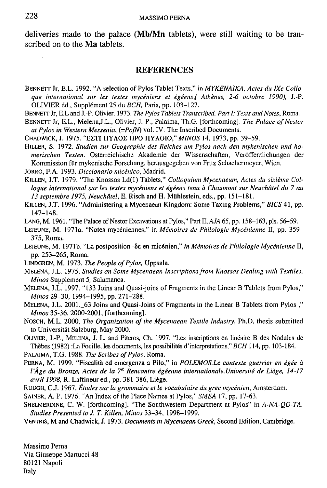deliveries made to the palace **(Mb/Mn** tablets), were still waiting to be transcribed on to the **Ma** tablets.

#### **REFERENCES**

- **BENNETT Jr, E.L. 1992. "A selection of Pylos Tablet Texts," in** *MYKENAIKA, Acies du lXe Colloque international sur les textes myceniens el egeens,( Athenes, 2-6 octobre 1990),* **J.-P. OLIVIER** *6d.,* **Supplement 25 du** *BCH,* **Paris, pp. 103-127.**
- **BENNETT Jr, E.L and J.-P. Olivier. 1973.** *The Pylos Tablets Transcribed. Part I: Texts and Notes,* **Roma.**
- **BENNETT Jr, E.L., Melena.J.L., Olivier, J.-P., Palaima, Th.G. [forthcoming].** *The Palace of Nestor at Pylos in Western Messenia, (=PofN)* **vol. IV. The Inscribed Documents.**
- **CHADWICK, J. 1975. "ΕΣΤΙ ΠΥΛΟΣ ΠΡΟ ΠΥΛΟΙΟ,"** *MINOS* **14, 1973, pp. 39-59.**
- **HlLLER, S. 1972.** *Studien zur Geographie des Reiches urn Pylos nach den mykenischen und homerischen Texten.* **Osterreichische Akademie der Wissenschaften, Verbffentlichungen der Kommission fur mykenische Forschung, herausgegeben von Fritz Schachermeyer, Wien.**

**JORRO, F.A. 1993.** *Diccionario micenico,* **Madrid.** 

- **KlLLEN, J.T. 1979. "The Knossos Ld(l) Tablets,"** *Colloquium Mycenaeum, Actes du sixieme Col*loque international sur les textes mycéniens et égéens tenu à Chaumont sur Neuchâtel du 7 au *13 septembre 1975, Neuchatel,* **E. Risch and H . Miihlestein, eds., pp. 151-181.**
- **KILLEN, J.T. 1996. "Administering a Mycenaean Kingdom: Some Taxing Problems,"** *B1CS* **41, pp. 147-148.**
- **LANG, M. 1961. "The Palace of Nestor Excavations at Pylos," Part U,** *AJA* **65, pp. 158-163, pis. 56-59.**
- **LEJEUNE, M. 1971a. "Notes myceniennes," in** *Memoires de Philologie Mycenienne* **II, pp. 359- 375, Roma.**
- **LEJEUNE, M. 1971b. "La postposition -Se en micenien,"** *in Memoires de Philologie Mycenienne* **II, pp. 253-265, Roma.**
- **LINDGREN, M. 1973.** *The People of Pylos,* **Uppsala.**
- **MELENA, J.L. 1975.** *Studies on Some Mycenaean Inscriptions from Knossos Dealing with Textiles, Minos* **Supplement 5, Salamanca.**
- **MELENA, J.L. 1997. "133 Joins and Quasi-joins of Fragments in the Linear B Tablets from Pylos,"**  *Minos* **29-30, 1994-1995, pp. 271-288.**
- **MELENA, J.L. 2001.\_63 Joins and Quasi-Joins of Fragments in the Linear B Tablets from Pylos ,"**  *Minos* **35-36, 2000-2001, [forthcoming].**
- **NOSCH, M.L. 2000,** *The Organization of the Mycenaean Textile Industry,* **Ph.D. thesis submitted to Universitat Salzburg, May 2000.**
- **OLIVIER, J.-P., MELENA, J. L. and Piteros, Ch. 1997. "Les inscriptions en lineaire B des Nodules de**  Thèbes (1982) :La Fouille, les documents, les possibilités d'interpretations," *BCH* 114, pp. 103-184.
- **PALAIMA, T.G. 1988.** *The Scribes of Pylos,* **Roma.**
- **PERNA, M. 1999. "Fiscalita ed emergenza a Pilo," in** *POLEMOS.Le contexte guerrier en egee a l'Âge du Bronze, Actes de la 7<sup>e</sup> Rencontre égéenne internationale.Université de Liège, 14-17 avril 1998,* **R. Laffineur ed., pp. 381-386, Liege.**
- **RUUGH, C.J. 1967.** *Etudes sur la grammaire el le vocabulaire du grec mycenien,* **Amsterdam.**
- **SAINER, A. P. 1976. "An Index of the Place Names at Pylos,"** *SMEA* **17, pp. 17-63.**
- **SHELMERDINE, C. W. [forthcoming]. "The Southwestern Department at Pylos" in** *A-NA-QO-TA. Studies Presented to J. T. Killen, Minos* **33-34, 1998-1999.**
- **VENTRIS, M and Chadwick, J. 1973.** *Documents in Mycenaean Greek,* **Second Edition, Cambridge.**

**Massimo Perna Via Giuseppe Martucci 48 80121 Napoli Italy**